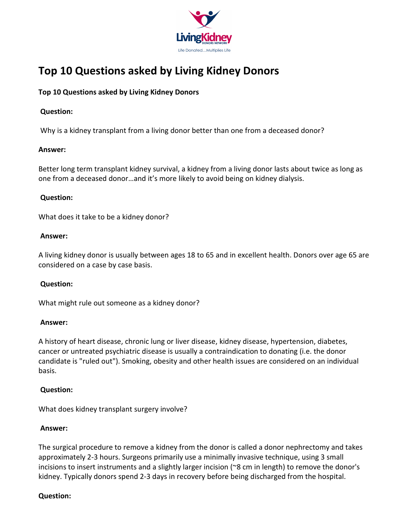

# Top 10 Questions asked by Living Kidney Donors

# Top 10 Questions asked by Living Kidney Donors

# Question:

Why is a kidney transplant from a living donor better than one from a deceased donor?

# Answer:

Better long term transplant kidney survival, a kidney from a living donor lasts about twice as long as one from a deceased donor…and it's more likely to avoid being on kidney dialysis.

# Question:

What does it take to be a kidney donor?

## Answer:

A living kidney donor is usually between ages 18 to 65 and in excellent health. Donors over age 65 are considered on a case by case basis.

# Question:

What might rule out someone as a kidney donor?

#### Answer:

A history of heart disease, chronic lung or liver disease, kidney disease, hypertension, diabetes, cancer or untreated psychiatric disease is usually a contraindication to donating (i.e. the donor candidate is "ruled out"). Smoking, obesity and other health issues are considered on an individual basis.

# Question:

What does kidney transplant surgery involve?

# Answer:

The surgical procedure to remove a kidney from the donor is called a donor nephrectomy and takes approximately 2-3 hours. Surgeons primarily use a minimally invasive technique, using 3 small incisions to insert instruments and a slightly larger incision (~8 cm in length) to remove the donor's kidney. Typically donors spend 2-3 days in recovery before being discharged from the hospital.

# Question: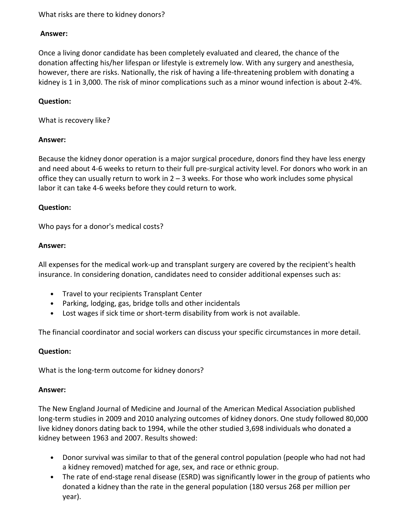## What risks are there to kidney donors?

#### Answer:

Once a living donor candidate has been completely evaluated and cleared, the chance of the donation affecting his/her lifespan or lifestyle is extremely low. With any surgery and anesthesia, however, there are risks. Nationally, the risk of having a life-threatening problem with donating a kidney is 1 in 3,000. The risk of minor complications such as a minor wound infection is about 2-4%.

#### Question:

What is recovery like?

#### Answer:

Because the kidney donor operation is a major surgical procedure, donors find they have less energy and need about 4-6 weeks to return to their full pre-surgical activity level. For donors who work in an office they can usually return to work in  $2 - 3$  weeks. For those who work includes some physical labor it can take 4-6 weeks before they could return to work.

#### Question:

Who pays for a donor's medical costs?

#### Answer:

All expenses for the medical work-up and transplant surgery are covered by the recipient's health insurance. In considering donation, candidates need to consider additional expenses such as:

- Travel to your recipients Transplant Center
- Parking, lodging, gas, bridge tolls and other incidentals
- Lost wages if sick time or short-term disability from work is not available.

The financial coordinator and social workers can discuss your specific circumstances in more detail.

#### Question:

What is the long-term outcome for kidney donors?

#### Answer:

The New England Journal of Medicine and Journal of the American Medical Association published long-term studies in 2009 and 2010 analyzing outcomes of kidney donors. One study followed 80,000 live kidney donors dating back to 1994, while the other studied 3,698 individuals who donated a kidney between 1963 and 2007. Results showed:

- Donor survival was similar to that of the general control population (people who had not had a kidney removed) matched for age, sex, and race or ethnic group.
- The rate of end-stage renal disease (ESRD) was significantly lower in the group of patients who donated a kidney than the rate in the general population (180 versus 268 per million per year).